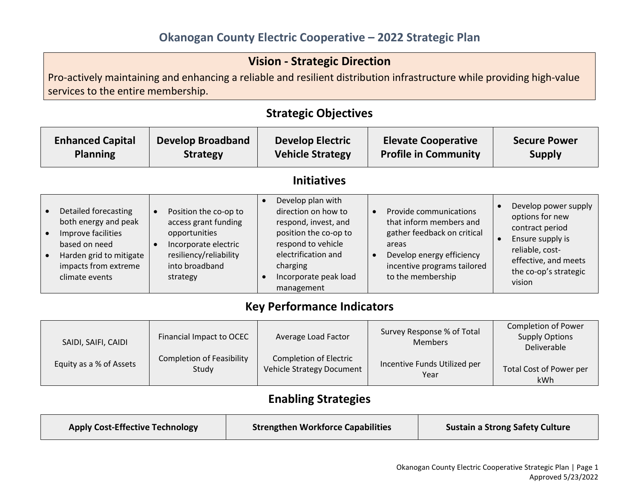## Vision - Strategic Direction

Pro-actively maintaining and enhancing a reliable and resilient distribution infrastructure while providing high-value services to the entire membership.

Strategic Objectives

#### Enhanced Capital Planning Develop Broadband Strategy Develop Electric Vehicle Strategy Elevate Cooperative Profile in Community Secure Power Supply Initiatives • Detailed forecasting both energy and peak **•** Improve facilities based on need • Harden grid to mitigate impacts from extreme climate events Position the co-op to access grant funding opportunities • Incorporate electric resiliency/reliability into broadband strategy Develop plan with direction on how to respond, invest, and position the co-op to respond to vehicle electrification and charging Incorporate peak load management • Provide communications that inform members and gather feedback on critical areas • Develop energy efficiency incentive programs tailored to the membership • Develop power supply options for new contract period • Ensure supply is reliable, costeffective, and meets the co-op's strategic vision

## Key Performance Indicators

| SAIDI, SAIFI, CAIDI     | Financial Impact to OCEC         | Average Load Factor           | Survey Response % of Total<br><b>Members</b> | <b>Completion of Power</b><br><b>Supply Options</b><br>Deliverable |
|-------------------------|----------------------------------|-------------------------------|----------------------------------------------|--------------------------------------------------------------------|
| Equity as a % of Assets | <b>Completion of Feasibility</b> | <b>Completion of Electric</b> | Incentive Funds Utilized per                 | Total Cost of Power per                                            |
|                         | Study                            | Vehicle Strategy Document     | Year                                         | <b>kWh</b>                                                         |

# Enabling Strategies

| <b>Apply Cost-Effective Technology</b> | <b>Strengthen Workforce Capabilities</b> | <b>Sustain a Strong Safety Culture</b> |
|----------------------------------------|------------------------------------------|----------------------------------------|
|                                        |                                          |                                        |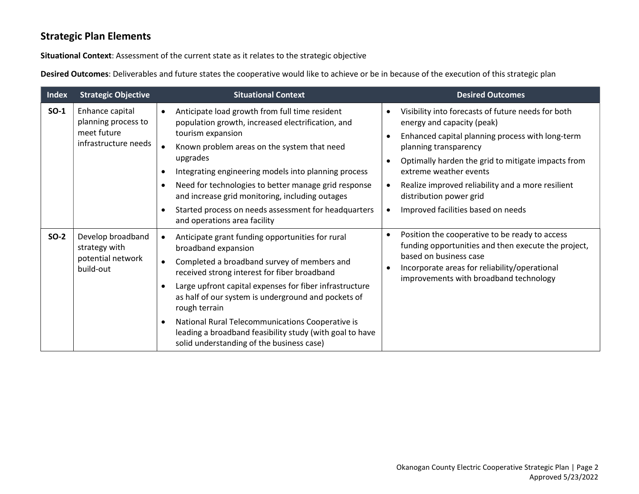#### Strategic Plan Elements

Situational Context: Assessment of the current state as it relates to the strategic objective

Desired Outcomes: Deliverables and future states the cooperative would like to achieve or be in because of the execution of this strategic plan

| <b>Index</b> | <b>Strategic Objective</b>                                                    | <b>Situational Context</b>                                                                                                                                                                                                                                                                                                                                                                                                                                                                                                 | <b>Desired Outcomes</b>                                                                                                                                                                                                                                                                                                                                                                                                              |
|--------------|-------------------------------------------------------------------------------|----------------------------------------------------------------------------------------------------------------------------------------------------------------------------------------------------------------------------------------------------------------------------------------------------------------------------------------------------------------------------------------------------------------------------------------------------------------------------------------------------------------------------|--------------------------------------------------------------------------------------------------------------------------------------------------------------------------------------------------------------------------------------------------------------------------------------------------------------------------------------------------------------------------------------------------------------------------------------|
| $SO-1$       | Enhance capital<br>planning process to<br>meet future<br>infrastructure needs | Anticipate load growth from full time resident<br>$\bullet$<br>population growth, increased electrification, and<br>tourism expansion<br>Known problem areas on the system that need<br>$\bullet$<br>upgrades<br>Integrating engineering models into planning process<br>٠<br>Need for technologies to better manage grid response<br>$\bullet$<br>and increase grid monitoring, including outages<br>Started process on needs assessment for headquarters<br>٠<br>and operations area facility                            | Visibility into forecasts of future needs for both<br>$\bullet$<br>energy and capacity (peak)<br>Enhanced capital planning process with long-term<br>$\bullet$<br>planning transparency<br>Optimally harden the grid to mitigate impacts from<br>$\bullet$<br>extreme weather events<br>Realize improved reliability and a more resilient<br>$\bullet$<br>distribution power grid<br>Improved facilities based on needs<br>$\bullet$ |
| $SO-2$       | Develop broadband<br>strategy with<br>potential network<br>build-out          | Anticipate grant funding opportunities for rural<br>$\bullet$<br>broadband expansion<br>Completed a broadband survey of members and<br>$\bullet$<br>received strong interest for fiber broadband<br>Large upfront capital expenses for fiber infrastructure<br>$\bullet$<br>as half of our system is underground and pockets of<br>rough terrain<br>National Rural Telecommunications Cooperative is<br>$\bullet$<br>leading a broadband feasibility study (with goal to have<br>solid understanding of the business case) | Position the cooperative to be ready to access<br>$\bullet$<br>funding opportunities and then execute the project,<br>based on business case<br>Incorporate areas for reliability/operational<br>$\bullet$<br>improvements with broadband technology                                                                                                                                                                                 |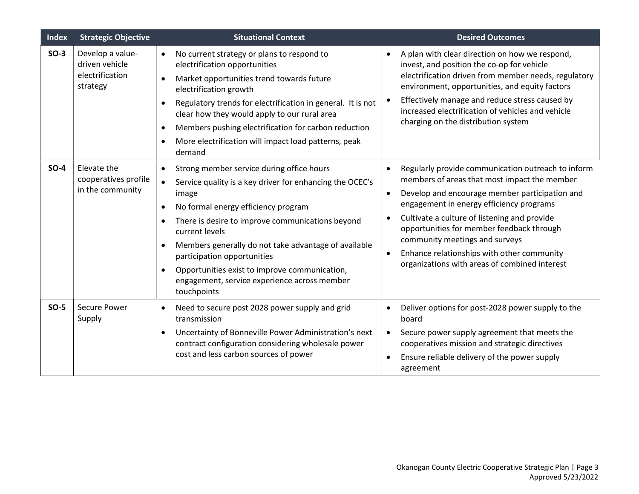| <b>Index</b> | <b>Strategic Objective</b>                                        | <b>Situational Context</b>                                                                                                                                                                                                                                                                                                                                                                                                                                   | <b>Desired Outcomes</b>                                                                                                                                                                                                                                                                                                                                                                                                                                                            |
|--------------|-------------------------------------------------------------------|--------------------------------------------------------------------------------------------------------------------------------------------------------------------------------------------------------------------------------------------------------------------------------------------------------------------------------------------------------------------------------------------------------------------------------------------------------------|------------------------------------------------------------------------------------------------------------------------------------------------------------------------------------------------------------------------------------------------------------------------------------------------------------------------------------------------------------------------------------------------------------------------------------------------------------------------------------|
| $SO-3$       | Develop a value-<br>driven vehicle<br>electrification<br>strategy | No current strategy or plans to respond to<br>$\bullet$<br>electrification opportunities<br>Market opportunities trend towards future<br>electrification growth<br>Regulatory trends for electrification in general. It is not<br>clear how they would apply to our rural area<br>Members pushing electrification for carbon reduction<br>More electrification will impact load patterns, peak<br>demand                                                     | A plan with clear direction on how we respond,<br>$\bullet$<br>invest, and position the co-op for vehicle<br>electrification driven from member needs, regulatory<br>environment, opportunities, and equity factors<br>Effectively manage and reduce stress caused by<br>$\bullet$<br>increased electrification of vehicles and vehicle<br>charging on the distribution system                                                                                                     |
| $SO-4$       | Elevate the<br>cooperatives profile<br>in the community           | Strong member service during office hours<br>$\bullet$<br>Service quality is a key driver for enhancing the OCEC's<br>$\bullet$<br>image<br>No formal energy efficiency program<br>There is desire to improve communications beyond<br>current levels<br>Members generally do not take advantage of available<br>participation opportunities<br>Opportunities exist to improve communication,<br>engagement, service experience across member<br>touchpoints | Regularly provide communication outreach to inform<br>$\bullet$<br>members of areas that most impact the member<br>Develop and encourage member participation and<br>$\bullet$<br>engagement in energy efficiency programs<br>Cultivate a culture of listening and provide<br>$\bullet$<br>opportunities for member feedback through<br>community meetings and surveys<br>Enhance relationships with other community<br>$\bullet$<br>organizations with areas of combined interest |
| $SO-5$       | Secure Power<br>Supply                                            | Need to secure post 2028 power supply and grid<br>$\bullet$<br>transmission<br>Uncertainty of Bonneville Power Administration's next<br>$\bullet$<br>contract configuration considering wholesale power<br>cost and less carbon sources of power                                                                                                                                                                                                             | Deliver options for post-2028 power supply to the<br>٠<br>board<br>Secure power supply agreement that meets the<br>$\bullet$<br>cooperatives mission and strategic directives<br>Ensure reliable delivery of the power supply<br>agreement                                                                                                                                                                                                                                         |